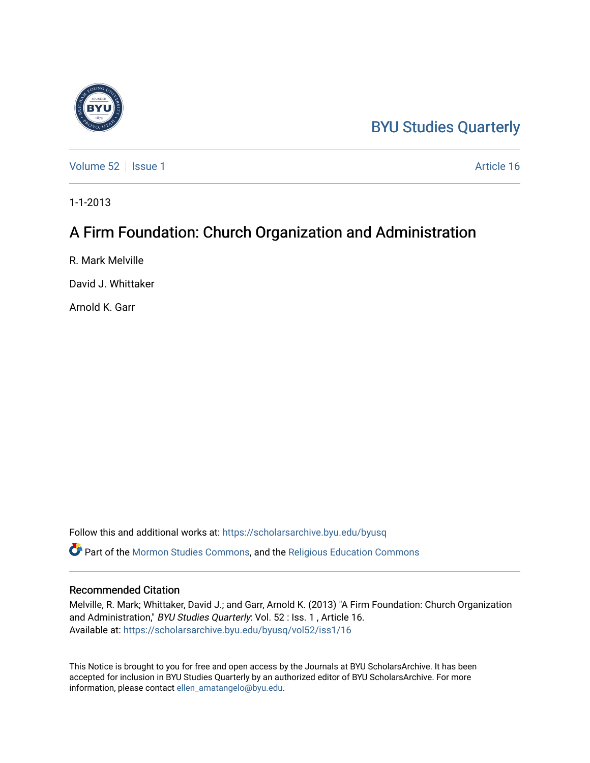## [BYU Studies Quarterly](https://scholarsarchive.byu.edu/byusq)

[Volume 52](https://scholarsarchive.byu.edu/byusq/vol52) | [Issue 1](https://scholarsarchive.byu.edu/byusq/vol52/iss1) Article 16

1-1-2013

## A Firm Foundation: Church Organization and Administration

R. Mark Melville

David J. Whittaker

Arnold K. Garr

Follow this and additional works at: [https://scholarsarchive.byu.edu/byusq](https://scholarsarchive.byu.edu/byusq?utm_source=scholarsarchive.byu.edu%2Fbyusq%2Fvol52%2Fiss1%2F16&utm_medium=PDF&utm_campaign=PDFCoverPages) 

Part of the [Mormon Studies Commons](http://network.bepress.com/hgg/discipline/1360?utm_source=scholarsarchive.byu.edu%2Fbyusq%2Fvol52%2Fiss1%2F16&utm_medium=PDF&utm_campaign=PDFCoverPages), and the [Religious Education Commons](http://network.bepress.com/hgg/discipline/1414?utm_source=scholarsarchive.byu.edu%2Fbyusq%2Fvol52%2Fiss1%2F16&utm_medium=PDF&utm_campaign=PDFCoverPages) 

## Recommended Citation

Melville, R. Mark; Whittaker, David J.; and Garr, Arnold K. (2013) "A Firm Foundation: Church Organization and Administration," BYU Studies Quarterly: Vol. 52 : Iss. 1, Article 16. Available at: [https://scholarsarchive.byu.edu/byusq/vol52/iss1/16](https://scholarsarchive.byu.edu/byusq/vol52/iss1/16?utm_source=scholarsarchive.byu.edu%2Fbyusq%2Fvol52%2Fiss1%2F16&utm_medium=PDF&utm_campaign=PDFCoverPages) 

This Notice is brought to you for free and open access by the Journals at BYU ScholarsArchive. It has been accepted for inclusion in BYU Studies Quarterly by an authorized editor of BYU ScholarsArchive. For more information, please contact [ellen\\_amatangelo@byu.edu.](mailto:ellen_amatangelo@byu.edu)